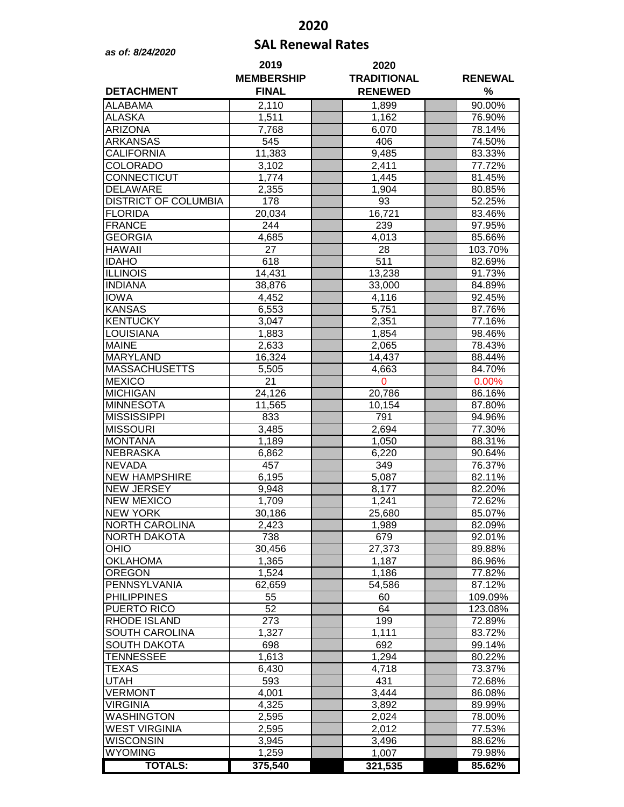## **2020**

## **SAL Renewal Rates** *as of: 8/24/2020*

| <b>DETACHMENT</b>                | 2019<br><b>MEMBERSHIP</b><br><b>FINAL</b> | 2020<br><b>TRADITIONAL</b><br><b>RENEWED</b> | <b>RENEWAL</b><br>$\%$ |                   |
|----------------------------------|-------------------------------------------|----------------------------------------------|------------------------|-------------------|
| <b>ALABAMA</b>                   | 2,110                                     | 1,899                                        |                        | 90.00%            |
| ALASKA                           | 1,511                                     | 1,162                                        |                        | 76.90%            |
| <b>ARIZONA</b>                   | 7,768                                     | 6,070                                        |                        | 78.14%            |
| <b>ARKANSAS</b>                  | 545                                       | 406                                          |                        | 74.50%            |
| <b>CALIFORNIA</b>                | 11,383                                    | 9,485                                        |                        | 83.33%            |
| <b>COLORADO</b>                  | 3,102                                     | 2,411                                        |                        | 77.72%            |
| CONNECTICUT                      | 1,774                                     | 1,445                                        |                        | 81.45%            |
| <b>DELAWARE</b>                  | 2,355                                     | 1,904                                        |                        | 80.85%            |
| <b>DISTRICT OF COLUMBIA</b>      | 178                                       | 93                                           |                        | 52.25%            |
| <b>FLORIDA</b>                   | 20,034                                    | 16,721                                       |                        | 83.46%            |
| <b>FRANCE</b>                    | 244                                       | 239                                          |                        | 97.95%            |
| <b>GEORGIA</b>                   | 4,685                                     | 4,013                                        |                        | 85.66%            |
| <b>HAWAII</b>                    | $\overline{27}$                           | 28                                           |                        | 103.70%           |
| <b>IDAHO</b>                     | 618                                       | 511                                          |                        | 82.69%            |
| <b>ILLINOIS</b>                  | 14,431                                    | 13,238                                       |                        | 91.73%            |
| <b>INDIANA</b>                   | 38,876                                    | 33,000                                       |                        | 84.89%            |
| <b>IOWA</b>                      | 4,452                                     | 4,116                                        |                        | 92.45%            |
| <b>KANSAS</b><br><b>KENTUCKY</b> | 6,553                                     | 5,751                                        |                        | 87.76%            |
| <b>LOUISIANA</b>                 | 3,047<br>1,883                            | 2,351<br>1,854                               |                        | 77.16%<br>98.46%  |
| <b>MAINE</b>                     | 2,633                                     | 2,065                                        |                        | 78.43%            |
| <b>MARYLAND</b>                  | 16,324                                    | 14,437                                       |                        | 88.44%            |
| <b>MASSACHUSETTS</b>             | 5,505                                     | 4,663                                        |                        | 84.70%            |
| <b>MEXICO</b>                    | 21                                        | 0                                            |                        | 0.00%             |
| <b>MICHIGAN</b>                  | 24,126                                    | 20,786                                       |                        | 86.16%            |
| <b>MINNESOTA</b>                 | 11,565                                    | 10,154                                       |                        | 87.80%            |
| <b>MISSISSIPPI</b>               | 833                                       | 791                                          |                        | 94.96%            |
| <b>MISSOURI</b>                  | 3,485                                     | 2,694                                        |                        | 77.30%            |
| <b>MONTANA</b>                   | 1,189                                     | 1,050                                        |                        | 88.31%            |
| <b>NEBRASKA</b>                  | 6,862                                     | 6,220                                        |                        | 90.64%            |
| <b>NEVADA</b>                    | 457                                       | 349                                          |                        | 76.37%            |
| <b>NEW HAMPSHIRE</b>             | 6,195                                     | 5,087                                        |                        | 82.11%            |
| <b>NEW JERSEY</b>                | 9,948                                     | 8,177                                        |                        | 82.20%            |
| <b>NEW MEXICO</b>                | 1,709                                     | 1,241                                        |                        | 72.62%            |
| <b>NEW YORK</b>                  | 30,186                                    | 25,680                                       |                        | 85.07%            |
| <b>NORTH CAROLINA</b>            | 2,423                                     | 1,989                                        |                        | 82.09%            |
| <b>NORTH DAKOTA</b>              | 738                                       | 679                                          |                        | 92.01%            |
| OHIO                             | 30,456                                    | 27,373                                       |                        | 89.88%            |
| <b>OKLAHOMA</b>                  | 1,365                                     | 1,187                                        |                        | 86.96%            |
| <b>OREGON</b><br>PENNSYLVANIA    | 1,524                                     | 1,186                                        |                        | 77.82%            |
| <b>PHILIPPINES</b>               | 62,659<br>55                              | 54,586<br>60                                 |                        | 87.12%<br>109.09% |
| PUERTO RICO                      | 52                                        | 64                                           |                        | 123.08%           |
| RHODE ISLAND                     | 273                                       | 199                                          |                        | 72.89%            |
| SOUTH CAROLINA                   | 1,327                                     | 1,111                                        |                        | 83.72%            |
| <b>SOUTH DAKOTA</b>              | 698                                       | 692                                          |                        | 99.14%            |
| <b>TENNESSEE</b>                 | 1,613                                     | 1,294                                        |                        | 80.22%            |
| <b>TEXAS</b>                     | 6,430                                     | 4,718                                        |                        | 73.37%            |
| <b>UTAH</b>                      | 593                                       | 431                                          |                        | 72.68%            |
| <b>VERMONT</b>                   | 4,001                                     | 3,444                                        |                        | 86.08%            |
| <b>VIRGINIA</b>                  | 4,325                                     | 3,892                                        |                        | 89.99%            |
| WASHINGTON                       | 2,595                                     | 2,024                                        |                        | 78.00%            |
| <b>WEST VIRGINIA</b>             | 2,595                                     | 2,012                                        |                        | 77.53%            |
| WISCONSIN                        | 3,945                                     | 3,496                                        |                        | 88.62%            |
| <b>WYOMING</b>                   | 1,259                                     | 1,007                                        |                        | 79.98%            |
| <b>TOTALS:</b>                   | 375,540                                   | 321,535                                      |                        | 85.62%            |